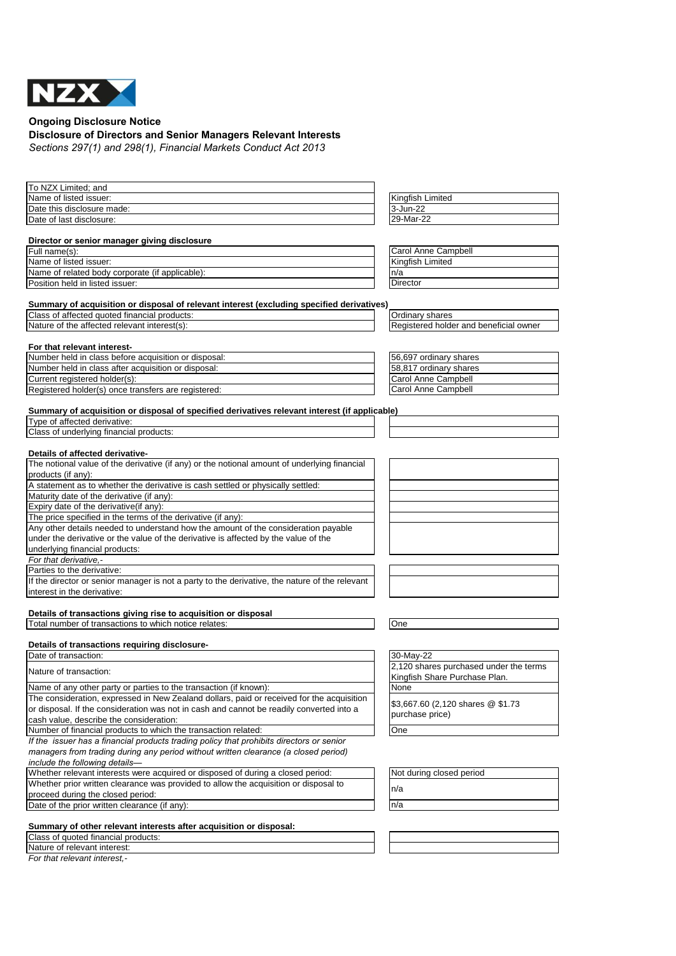

**Ongoing Disclosure Notice**

## **Disclosure of Directors and Senior Managers Relevant Interests**

*Sections 297(1) and 298(1), Financial Markets Conduct Act 2013*

| To NZX Limited; and                                                                            |                                        |
|------------------------------------------------------------------------------------------------|----------------------------------------|
| Name of listed issuer:                                                                         | Kingfish Limited                       |
| Date this disclosure made:                                                                     | 3-Jun-22                               |
| Date of last disclosure:                                                                       | 29-Mar-22                              |
|                                                                                                |                                        |
| Director or senior manager giving disclosure                                                   |                                        |
| Full name(s):                                                                                  | Carol Anne Campbell                    |
| Name of listed issuer:                                                                         | Kingfish Limited                       |
| Name of related body corporate (if applicable):                                                | n/a                                    |
| Position held in listed issuer:                                                                | Director                               |
|                                                                                                |                                        |
| Summary of acquisition or disposal of relevant interest (excluding specified derivatives)      |                                        |
| Class of affected quoted financial products:                                                   | Ordinary shares                        |
| Nature of the affected relevant interest(s):                                                   | Registered holder and beneficial owner |
|                                                                                                |                                        |
| For that relevant interest-                                                                    |                                        |
| Number held in class before acquisition or disposal:                                           | 56,697 ordinary shares                 |
| Number held in class after acquisition or disposal:                                            | 58,817 ordinary shares                 |
| Current registered holder(s):                                                                  | Carol Anne Campbell                    |
|                                                                                                |                                        |
| Registered holder(s) once transfers are registered:                                            | Carol Anne Campbell                    |
|                                                                                                |                                        |
| Summary of acquisition or disposal of specified derivatives relevant interest (if applicable)  |                                        |
| Type of affected derivative:                                                                   |                                        |
| Class of underlying financial products:                                                        |                                        |
|                                                                                                |                                        |
| Details of affected derivative-                                                                |                                        |
| The notional value of the derivative (if any) or the notional amount of underlying financial   |                                        |
| products (if any):                                                                             |                                        |
| A statement as to whether the derivative is cash settled or physically settled:                |                                        |
| Maturity date of the derivative (if any):                                                      |                                        |
| Expiry date of the derivative(if any):                                                         |                                        |
| The price specified in the terms of the derivative (if any):                                   |                                        |
| Any other details needed to understand how the amount of the consideration payable             |                                        |
| under the derivative or the value of the derivative is affected by the value of the            |                                        |
| underlying financial products:                                                                 |                                        |
| For that derivative.-                                                                          |                                        |
| Parties to the derivative:                                                                     |                                        |
| If the director or senior manager is not a party to the derivative, the nature of the relevant |                                        |
| interest in the derivative:                                                                    |                                        |
|                                                                                                |                                        |
| Details of transactions giving rise to acquisition or disposal                                 |                                        |
| Total number of transactions to which notice relates:                                          | One                                    |
|                                                                                                |                                        |
| Details of transactions requiring disclosure-                                                  |                                        |
| Date of transaction:                                                                           | 30-May-22                              |
| Nature of transaction:                                                                         | 2,120 shares purchased under the terms |
|                                                                                                | Kingfish Share Purchase Plan.          |
| Name of any other party or parties to the transaction (if known):                              | None                                   |
| The consideration, expressed in New Zealand dollars, paid or received for the acquisition      | \$3,667.60 (2,120 shares @ \$1.73      |
| or disposal. If the consideration was not in cash and cannot be readily converted into a       | purchase price)                        |
| cash value, describe the consideration:                                                        |                                        |
| Number of financial products to which the transaction related:                                 | One                                    |
| If the issuer has a financial products trading policy that prohibits directors or senior       |                                        |
| managers from trading during any period without written clearance (a closed period)            |                                        |
| include the following details-                                                                 |                                        |
| Whether relevant interests were acquired or disposed of during a closed period:                | Not during closed period               |
| Whether prior written clearance was provided to allow the acquisition or disposal to           |                                        |
| proceed during the closed period:                                                              | n/a                                    |
| Date of the prior written clearance (if any):                                                  | n/a                                    |
|                                                                                                |                                        |
| Summary of other relevant interests after acquisition or disposal:                             |                                        |
| Class of quoted financial products:                                                            |                                        |
| Nature of relevant interest:                                                                   |                                        |

*For that relevant interest,-*